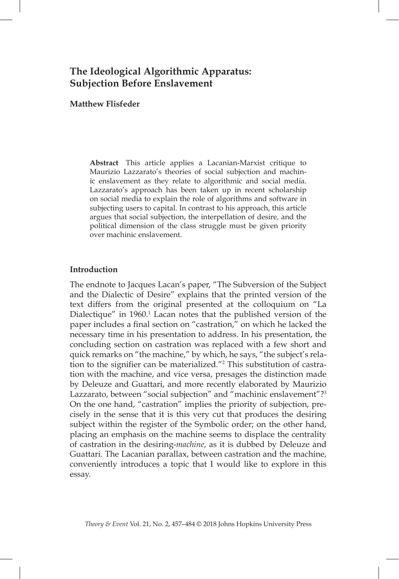# **The Ideological Algorithmic Apparatus: Subjection Before Enslavement**

### **Matthew Flisfeder**

**Abstract** This article applies a Lacanian-Marxist critique to Maurizio Lazzarato's theories of social subjection and machinic enslavement as they relate to algorithmic and social media. Lazzarato's approach has been taken up in recent scholarship on social media to explain the role of algorithms and software in subjecting users to capital. In contrast to his approach, this article argues that social subjection, the interpellation of desire, and the political dimension of the class struggle must be given priority over machinic enslavement.

#### **Introduction**

The endnote to Jacques Lacan's paper, "The Subversion of the Subject and the Dialectic of Desire" explains that the printed version of the text differs from the original presented at the colloquium on "La Dialectique" in 1960.<sup>1</sup> Lacan notes that the published version of the paper includes a final section on "castration," on which he lacked the necessary time in his presentation to address. In his presentation, the concluding section on castration was replaced with a few short and quick remarks on "the machine," by which, he says, "the subject's relation to the signifier can be materialized."<sup>2</sup> This substitution of castration with the machine, and vice versa, presages the distinction made by Deleuze and Guattari, and more recently elaborated by Maurizio Lazzarato, between "social subjection" and "machinic enslavement"?<sup>3</sup> On the one hand, "castration" implies the priority of subjection, precisely in the sense that it is this very cut that produces the desiring subject within the register of the Symbolic order; on the other hand, placing an emphasis on the machine seems to displace the centrality of castration in the desiring-*machine*, as it is dubbed by Deleuze and Guattari. The Lacanian parallax, between castration and the machine, conveniently introduces a topic that I would like to explore in this essay.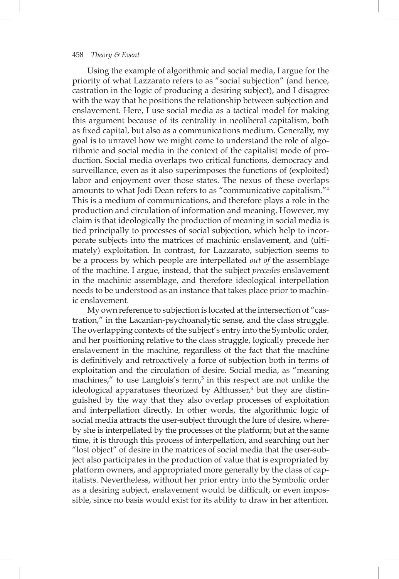Using the example of algorithmic and social media, I argue for the priority of what Lazzarato refers to as "social subjection" (and hence, castration in the logic of producing a desiring subject), and I disagree with the way that he positions the relationship between subjection and enslavement. Here, I use social media as a tactical model for making this argument because of its centrality in neoliberal capitalism, both as fixed capital, but also as a communications medium. Generally, my goal is to unravel how we might come to understand the role of algorithmic and social media in the context of the capitalist mode of production. Social media overlaps two critical functions, democracy and surveillance, even as it also superimposes the functions of (exploited) labor and enjoyment over those states. The nexus of these overlaps amounts to what Jodi Dean refers to as "communicative capitalism."4 This is a medium of communications, and therefore plays a role in the production and circulation of information and meaning. However, my claim is that ideologically the production of meaning in social media is tied principally to processes of social subjection, which help to incorporate subjects into the matrices of machinic enslavement, and (ultimately) exploitation. In contrast, for Lazzarato, subjection seems to be a process by which people are interpellated *out of* the assemblage of the machine. I argue, instead, that the subject *precedes* enslavement in the machinic assemblage, and therefore ideological interpellation needs to be understood as an instance that takes place prior to machinic enslavement.

My own reference to subjection is located at the intersection of "castration," in the Lacanian-psychoanalytic sense, and the class struggle. The overlapping contexts of the subject's entry into the Symbolic order, and her positioning relative to the class struggle, logically precede her enslavement in the machine, regardless of the fact that the machine is defnitively and retroactively a force of subjection both in terms of exploitation and the circulation of desire. Social media, as "meaning machines," to use Langlois's term,<sup>5</sup> in this respect are not unlike the ideological apparatuses theorized by Althusser,<sup>6</sup> but they are distinguished by the way that they also overlap processes of exploitation and interpellation directly. In other words, the algorithmic logic of social media attracts the user-subject through the lure of desire, whereby she is interpellated by the processes of the platform; but at the same time, it is through this process of interpellation, and searching out her "lost object" of desire in the matrices of social media that the user-subject also participates in the production of value that is expropriated by platform owners, and appropriated more generally by the class of capitalists. Nevertheless, without her prior entry into the Symbolic order as a desiring subject, enslavement would be difficult, or even impossible, since no basis would exist for its ability to draw in her attention.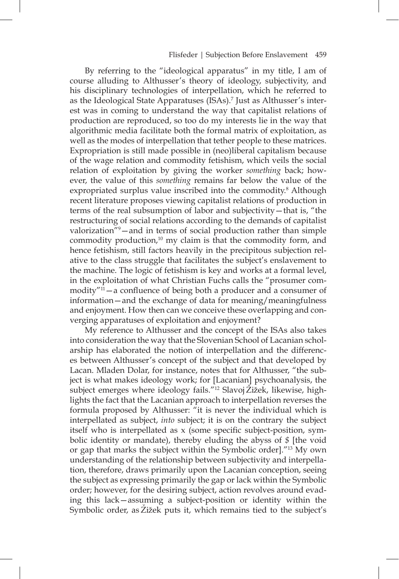By referring to the "ideological apparatus" in my title, I am of course alluding to Althusser's theory of ideology, subjectivity, and his disciplinary technologies of interpellation, which he referred to as the Ideological State Apparatuses (ISAs).7 Just as Althusser's interest was in coming to understand the way that capitalist relations of production are reproduced, so too do my interests lie in the way that algorithmic media facilitate both the formal matrix of exploitation, as well as the modes of interpellation that tether people to these matrices. Expropriation is still made possible in (neo)liberal capitalism because of the wage relation and commodity fetishism, which veils the social relation of exploitation by giving the worker *something* back; however, the value of this *something* remains far below the value of the expropriated surplus value inscribed into the commodity.<sup>8</sup> Although recent literature proposes viewing capitalist relations of production in terms of the real subsumption of labor and subjectivity—that is, "the restructuring of social relations according to the demands of capitalist valorization"9 —and in terms of social production rather than simple commodity production, $10 \text{ my claim}$  is that the commodity form, and hence fetishism, still factors heavily in the precipitous subjection relative to the class struggle that facilitates the subject's enslavement to the machine. The logic of fetishism is key and works at a formal level, in the exploitation of what Christian Fuchs calls the "prosumer commodity $^{\prime\prime}$ <sup>11</sup> — a confluence of being both a producer and a consumer of information—and the exchange of data for meaning/meaningfulness and enjoyment. How then can we conceive these overlapping and converging apparatuses of exploitation and enjoyment?

My reference to Althusser and the concept of the ISAs also takes into consideration the way that the Slovenian School of Lacanian scholarship has elaborated the notion of interpellation and the differences between Althusser's concept of the subject and that developed by Lacan. Mladen Dolar, for instance, notes that for Althusser, "the subject is what makes ideology work; for [Lacanian] psychoanalysis, the subject emerges where ideology fails."<sup>12</sup> Slavoj Žižek, likewise, highlights the fact that the Lacanian approach to interpellation reverses the formula proposed by Althusser: "it is never the individual which is interpellated as subject, *into* subject; it is on the contrary the subject itself who is interpellated as  $x$  (some specific subject-position, symbolic identity or mandate), thereby eluding the abyss of *\$* [the void or gap that marks the subject within the Symbolic order]."13 My own understanding of the relationship between subjectivity and interpellation, therefore, draws primarily upon the Lacanian conception, seeing the subject as expressing primarily the gap or lack within the Symbolic order; however, for the desiring subject, action revolves around evading this lack—assuming a subject-position or identity within the Symbolic order, as Zižek puts it, which remains tied to the subject's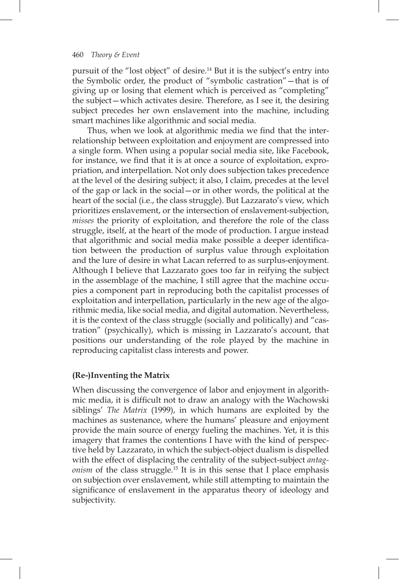pursuit of the "lost object" of desire.14 But it is the subject's entry into the Symbolic order, the product of "symbolic castration"—that is of giving up or losing that element which is perceived as "completing" the subject—which activates desire. Therefore, as I see it, the desiring subject precedes her own enslavement into the machine, including smart machines like algorithmic and social media.

Thus, when we look at algorithmic media we find that the interrelationship between exploitation and enjoyment are compressed into a single form. When using a popular social media site, like Facebook, for instance, we fnd that it is at once a source of exploitation, expropriation, and interpellation. Not only does subjection takes precedence at the level of the desiring subject; it also, I claim, precedes at the level of the gap or lack in the social—or in other words, the political at the heart of the social (i.e., the class struggle). But Lazzarato's view, which prioritizes enslavement, or the intersection of enslavement-subjection, *misses* the priority of exploitation, and therefore the role of the class struggle, itself, at the heart of the mode of production. I argue instead that algorithmic and social media make possible a deeper identifcation between the production of surplus value through exploitation and the lure of desire in what Lacan referred to as surplus-enjoyment. Although I believe that Lazzarato goes too far in reifying the subject in the assemblage of the machine, I still agree that the machine occupies a component part in reproducing both the capitalist processes of exploitation and interpellation, particularly in the new age of the algorithmic media, like social media, and digital automation. Nevertheless, it is the context of the class struggle (socially and politically) and "castration" (psychically), which is missing in Lazzarato's account, that positions our understanding of the role played by the machine in reproducing capitalist class interests and power.

## **(Re-)Inventing the Matrix**

When discussing the convergence of labor and enjoyment in algorithmic media, it is diffcult not to draw an analogy with the Wachowski siblings' *The Matrix* (1999), in which humans are exploited by the machines as sustenance, where the humans' pleasure and enjoyment provide the main source of energy fueling the machines. Yet, it is this imagery that frames the contentions I have with the kind of perspective held by Lazzarato, in which the subject-object dualism is dispelled with the effect of displacing the centrality of the subject-subject *antagonism* of the class struggle.15 It is in this sense that I place emphasis on subjection over enslavement, while still attempting to maintain the significance of enslavement in the apparatus theory of ideology and subjectivity.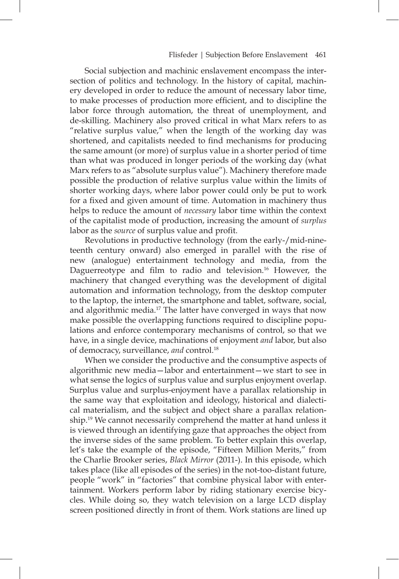Social subjection and machinic enslavement encompass the intersection of politics and technology. In the history of capital, machinery developed in order to reduce the amount of necessary labor time, to make processes of production more efficient, and to discipline the labor force through automation, the threat of unemployment, and de-skilling. Machinery also proved critical in what Marx refers to as "relative surplus value," when the length of the working day was shortened, and capitalists needed to find mechanisms for producing the same amount (or more) of surplus value in a shorter period of time than what was produced in longer periods of the working day (what Marx refers to as "absolute surplus value"). Machinery therefore made possible the production of relative surplus value within the limits of shorter working days, where labor power could only be put to work for a fixed and given amount of time. Automation in machinery thus helps to reduce the amount of *necessary* labor time within the context of the capitalist mode of production, increasing the amount of *surplus* labor as the *source* of surplus value and profit.

Revolutions in productive technology (from the early-/mid-nineteenth century onward) also emerged in parallel with the rise of new (analogue) entertainment technology and media, from the Daguerreotype and film to radio and television.<sup>16</sup> However, the machinery that changed everything was the development of digital automation and information technology, from the desktop computer to the laptop, the internet, the smartphone and tablet, software, social, and algorithmic media.17 The latter have converged in ways that now make possible the overlapping functions required to discipline populations and enforce contemporary mechanisms of control, so that we have, in a single device, machinations of enjoyment *and* labor, but also of democracy, surveillance, *and* control.18

When we consider the productive and the consumptive aspects of algorithmic new media—labor and entertainment—we start to see in what sense the logics of surplus value and surplus enjoyment overlap. Surplus value and surplus-enjoyment have a parallax relationship in the same way that exploitation and ideology, historical and dialectical materialism, and the subject and object share a parallax relationship.<sup>19</sup> We cannot necessarily comprehend the matter at hand unless it is viewed through an identifying gaze that approaches the object from the inverse sides of the same problem. To better explain this overlap, let's take the example of the episode, "Fifteen Million Merits," from the Charlie Brooker series, *Black Mirror* (2011-). In this episode, which takes place (like all episodes of the series) in the not-too-distant future, people "work" in "factories" that combine physical labor with entertainment. Workers perform labor by riding stationary exercise bicycles. While doing so, they watch television on a large LCD display screen positioned directly in front of them. Work stations are lined up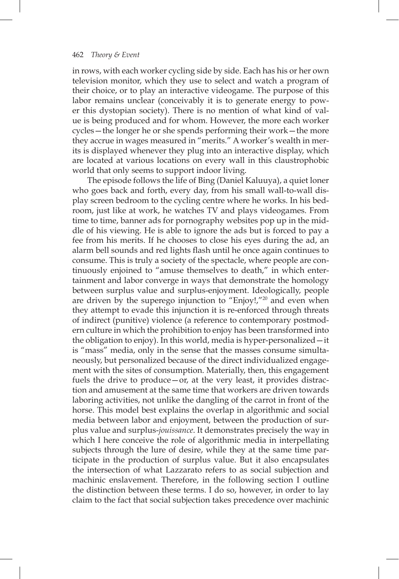in rows, with each worker cycling side by side. Each has his or her own television monitor, which they use to select and watch a program of their choice, or to play an interactive videogame. The purpose of this labor remains unclear (conceivably it is to generate energy to power this dystopian society). There is no mention of what kind of value is being produced and for whom. However, the more each worker cycles—the longer he or she spends performing their work—the more they accrue in wages measured in "merits." A worker's wealth in merits is displayed whenever they plug into an interactive display, which are located at various locations on every wall in this claustrophobic world that only seems to support indoor living.

The episode follows the life of Bing (Daniel Kaluuya), a quiet loner who goes back and forth, every day, from his small wall-to-wall display screen bedroom to the cycling centre where he works. In his bedroom, just like at work, he watches TV and plays videogames. From time to time, banner ads for pornography websites pop up in the middle of his viewing. He is able to ignore the ads but is forced to pay a fee from his merits. If he chooses to close his eyes during the ad, an alarm bell sounds and red lights fash until he once again continues to consume. This is truly a society of the spectacle, where people are continuously enjoined to "amuse themselves to death," in which entertainment and labor converge in ways that demonstrate the homology between surplus value and surplus-enjoyment. Ideologically, people are driven by the superego injunction to "Enjoy!, $\frac{1}{20}$  and even when they attempt to evade this injunction it is re-enforced through threats of indirect (punitive) violence (a reference to contemporary postmodern culture in which the prohibition to enjoy has been transformed into the obligation to enjoy). In this world, media is hyper-personalized—it is "mass" media, only in the sense that the masses consume simultaneously, but personalized because of the direct individualized engagement with the sites of consumption. Materially, then, this engagement fuels the drive to produce—or, at the very least, it provides distraction and amusement at the same time that workers are driven towards laboring activities, not unlike the dangling of the carrot in front of the horse. This model best explains the overlap in algorithmic and social media between labor and enjoyment, between the production of surplus value and surplus-*jouissance*. It demonstrates precisely the way in which I here conceive the role of algorithmic media in interpellating subjects through the lure of desire, while they at the same time participate in the production of surplus value. But it also encapsulates the intersection of what Lazzarato refers to as social subjection and machinic enslavement. Therefore, in the following section I outline the distinction between these terms. I do so, however, in order to lay claim to the fact that social subjection takes precedence over machinic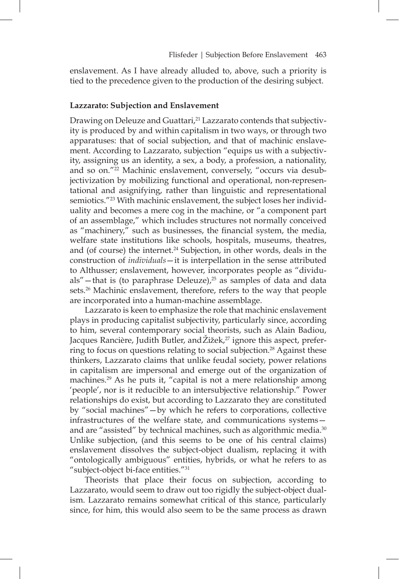enslavement. As I have already alluded to, above, such a priority is tied to the precedence given to the production of the desiring subject.

#### **Lazzarato: Subjection and Enslavement**

Drawing on Deleuze and Guattari,<sup>21</sup> Lazzarato contends that subjectivity is produced by and within capitalism in two ways, or through two apparatuses: that of social subjection, and that of machinic enslavement. According to Lazzarato, subjection "equips us with a subjectivity, assigning us an identity, a sex, a body, a profession, a nationality, and so on."22 Machinic enslavement, conversely, "occurs via desubjectivization by mobilizing functional and operational, non-representational and asignifying, rather than linguistic and representational semiotics."<sup>23</sup> With machinic enslavement, the subject loses her individuality and becomes a mere cog in the machine, or "a component part of an assemblage," which includes structures not normally conceived as "machinery," such as businesses, the fnancial system, the media, welfare state institutions like schools, hospitals, museums, theatres, and (of course) the internet.<sup>24</sup> Subjection, in other words, deals in the construction of *individuals*—it is interpellation in the sense attributed to Althusser; enslavement, however, incorporates people as "dividuals"—that is (to paraphrase Deleuze),<sup>25</sup> as samples of data and data sets.<sup>26</sup> Machinic enslavement, therefore, refers to the way that people are incorporated into a human-machine assemblage.

Lazzarato is keen to emphasize the role that machinic enslavement plays in producing capitalist subjectivity, particularly since, according to him, several contemporary social theorists, such as Alain Badiou, Jacques Rancière, Judith Butler, and Žižek,<sup>27</sup> ignore this aspect, preferring to focus on questions relating to social subjection.<sup>28</sup> Against these thinkers, Lazzarato claims that unlike feudal society, power relations in capitalism are impersonal and emerge out of the organization of machines.<sup>29</sup> As he puts it, "capital is not a mere relationship among 'people', nor is it reducible to an intersubjective relationship." Power relationships do exist, but according to Lazzarato they are constituted by "social machines"—by which he refers to corporations, collective infrastructures of the welfare state, and communications systems and are "assisted" by technical machines, such as algorithmic media.<sup>30</sup> Unlike subjection, (and this seems to be one of his central claims) enslavement dissolves the subject-object dualism, replacing it with "ontologically ambiguous" entities, hybrids, or what he refers to as "subject-object bi-face entities."31

Theorists that place their focus on subjection, according to Lazzarato, would seem to draw out too rigidly the subject-object dualism. Lazzarato remains somewhat critical of this stance, particularly since, for him, this would also seem to be the same process as drawn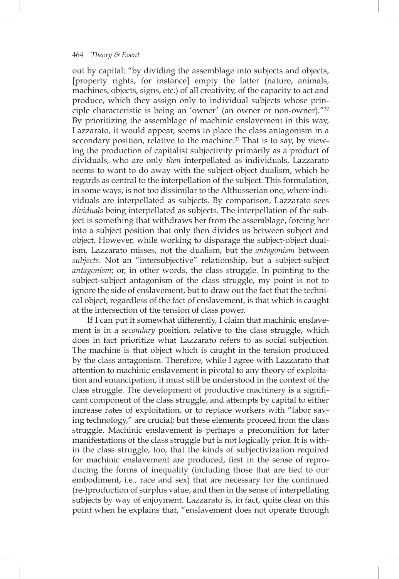out by capital: "by dividing the assemblage into subjects and objects, [property rights, for instance] empty the latter (nature, animals, machines, objects, signs, etc.) of all creativity, of the capacity to act and produce, which they assign only to individual subjects whose principle characteristic is being an 'owner' (an owner or non-owner)."32 By prioritizing the assemblage of machinic enslavement in this way, Lazzarato, it would appear, seems to place the class antagonism in a secondary position, relative to the machine.<sup>33</sup> That is to say, by viewing the production of capitalist subjectivity primarily as a product of dividuals, who are only *then* interpellated as individuals, Lazzarato seems to want to do away with the subject-object dualism, which he regards as central to the interpellation of the subject. This formulation, in some ways, is not too dissimilar to the Althusserian one, where individuals are interpellated as subjects. By comparison, Lazzarato sees *dividuals* being interpellated as subjects. The interpellation of the subject is something that withdraws her from the assemblage, forcing her into a subject position that only then divides us between subject and object. However, while working to disparage the subject-object dualism, Lazzarato misses, not the dualism, but the *antagonism* between *subjects*. Not an "intersubjective" relationship, but a subject-subject *antagonism*; or, in other words, the class struggle. In pointing to the subject-subject antagonism of the class struggle, my point is not to ignore the side of enslavement, but to draw out the fact that the technical object, regardless of the fact of enslavement, is that which is caught at the intersection of the tension of class power.

If I can put it somewhat differently, I claim that machinic enslavement is in a *secondary* position, relative to the class struggle, which does in fact prioritize what Lazzarato refers to as social subjection. The machine is that object which is caught in the tension produced by the class antagonism. Therefore, while I agree with Lazzarato that attention to machinic enslavement is pivotal to any theory of exploitation and emancipation, it must still be understood in the context of the class struggle. The development of productive machinery is a signifcant component of the class struggle, and attempts by capital to either increase rates of exploitation, or to replace workers with "labor saving technology," are crucial; but these elements proceed from the class struggle. Machinic enslavement is perhaps a precondition for later manifestations of the class struggle but is not logically prior. It is within the class struggle, too, that the kinds of subjectivization required for machinic enslavement are produced, first in the sense of reproducing the forms of inequality (including those that are tied to our embodiment, i.e., race and sex) that are necessary for the continued (re-)production of surplus value, and then in the sense of interpellating subjects by way of enjoyment. Lazzarato is, in fact, quite clear on this point when he explains that, "enslavement does not operate through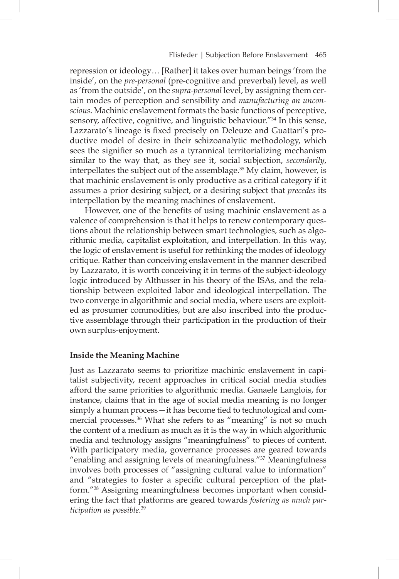repression or ideology… [Rather] it takes over human beings 'from the inside', on the *pre-personal* (pre-cognitive and preverbal) level, as well as 'from the outside', on the *supra-personal* level, by assigning them certain modes of perception and sensibility and *manufacturing an unconscious*. Machinic enslavement formats the basic functions of perceptive, sensory, affective, cognitive, and linguistic behaviour."34 In this sense, Lazzarato's lineage is fixed precisely on Deleuze and Guattari's productive model of desire in their schizoanalytic methodology, which sees the signifier so much as a tyrannical territorializing mechanism similar to the way that, as they see it, social subjection, *secondarily*, interpellates the subject out of the assemblage.<sup>35</sup> My claim, however, is that machinic enslavement is only productive as a critical category if it assumes a prior desiring subject, or a desiring subject that *precedes* its interpellation by the meaning machines of enslavement.

However, one of the benefits of using machinic enslavement as a valence of comprehension is that it helps to renew contemporary questions about the relationship between smart technologies, such as algorithmic media, capitalist exploitation, and interpellation. In this way, the logic of enslavement is useful for rethinking the modes of ideology critique. Rather than conceiving enslavement in the manner described by Lazzarato, it is worth conceiving it in terms of the subject-ideology logic introduced by Althusser in his theory of the ISAs, and the relationship between exploited labor and ideological interpellation. The two converge in algorithmic and social media, where users are exploited as prosumer commodities, but are also inscribed into the productive assemblage through their participation in the production of their own surplus-enjoyment.

### **Inside the Meaning Machine**

Just as Lazzarato seems to prioritize machinic enslavement in capitalist subjectivity, recent approaches in critical social media studies afford the same priorities to algorithmic media. Ganaele Langlois, for instance, claims that in the age of social media meaning is no longer simply a human process—it has become tied to technological and commercial processes.<sup>36</sup> What she refers to as "meaning" is not so much the content of a medium as much as it is the way in which algorithmic media and technology assigns "meaningfulness" to pieces of content. With participatory media, governance processes are geared towards "enabling and assigning levels of meaningfulness."37 Meaningfulness involves both processes of "assigning cultural value to information" and "strategies to foster a specific cultural perception of the platform."38 Assigning meaningfulness becomes important when considering the fact that platforms are geared towards *fostering as much participation as possible*. 39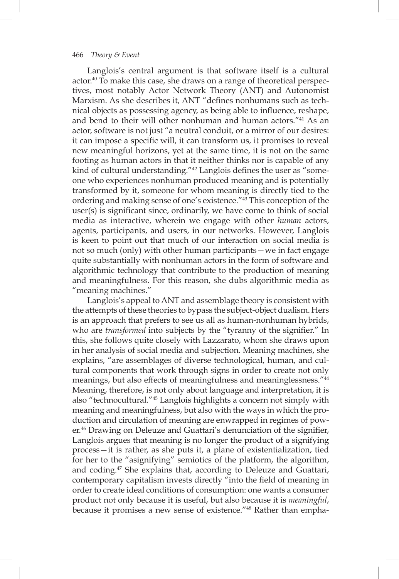Langlois's central argument is that software itself is a cultural actor.40 To make this case, she draws on a range of theoretical perspectives, most notably Actor Network Theory (ANT) and Autonomist Marxism. As she describes it, ANT "defines nonhumans such as technical objects as possessing agency, as being able to infuence, reshape, and bend to their will other nonhuman and human actors."41 As an actor, software is not just "a neutral conduit, or a mirror of our desires: it can impose a specific will, it can transform us, it promises to reveal new meaningful horizons, yet at the same time, it is not on the same footing as human actors in that it neither thinks nor is capable of any kind of cultural understanding."<sup>42</sup> Langlois defines the user as "someone who experiences nonhuman produced meaning and is potentially transformed by it, someone for whom meaning is directly tied to the ordering and making sense of one's existence."43 This conception of the user(s) is significant since, ordinarily, we have come to think of social media as interactive, wherein we engage with other *human* actors, agents, participants, and users, in our networks. However, Langlois is keen to point out that much of our interaction on social media is not so much (only) with other human participants—we in fact engage quite substantially with nonhuman actors in the form of software and algorithmic technology that contribute to the production of meaning and meaningfulness. For this reason, she dubs algorithmic media as "meaning machines."

Langlois's appeal to ANT and assemblage theory is consistent with the attempts of these theories to bypass the subject-object dualism. Hers is an approach that prefers to see us all as human-nonhuman hybrids, who are *transformed* into subjects by the "tyranny of the signifier." In this, she follows quite closely with Lazzarato, whom she draws upon in her analysis of social media and subjection. Meaning machines, she explains, "are assemblages of diverse technological, human, and cultural components that work through signs in order to create not only meanings, but also effects of meaningfulness and meaninglessness."44 Meaning, therefore, is not only about language and interpretation, it is also "technocultural."45 Langlois highlights a concern not simply with meaning and meaningfulness, but also with the ways in which the production and circulation of meaning are enwrapped in regimes of power.<sup>46</sup> Drawing on Deleuze and Guattari's denunciation of the signifier, Langlois argues that meaning is no longer the product of a signifying process—it is rather, as she puts it, a plane of existentialization, tied for her to the "asignifying" semiotics of the platform, the algorithm, and coding.47 She explains that, according to Deleuze and Guattari, contemporary capitalism invests directly "into the field of meaning in order to create ideal conditions of consumption: one wants a consumer product not only because it is useful, but also because it is *meaningful*, because it promises a new sense of existence."48 Rather than empha-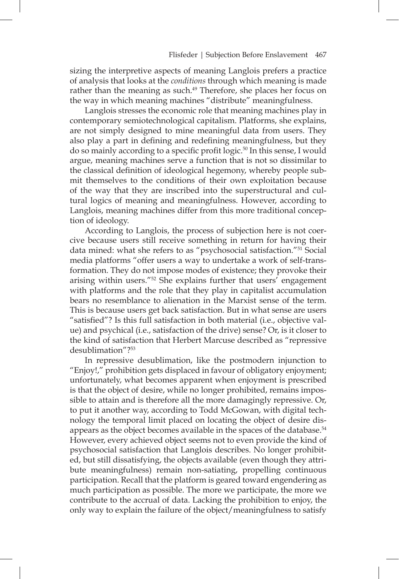sizing the interpretive aspects of meaning Langlois prefers a practice of analysis that looks at the *conditions* through which meaning is made rather than the meaning as such.<sup>49</sup> Therefore, she places her focus on the way in which meaning machines "distribute" meaningfulness.

Langlois stresses the economic role that meaning machines play in contemporary semiotechnological capitalism. Platforms, she explains, are not simply designed to mine meaningful data from users. They also play a part in defining and redefining meaningfulness, but they do so mainly according to a specific profit logic.<sup>50</sup> In this sense, I would argue, meaning machines serve a function that is not so dissimilar to the classical defnition of ideological hegemony, whereby people submit themselves to the conditions of their own exploitation because of the way that they are inscribed into the superstructural and cultural logics of meaning and meaningfulness. However, according to Langlois, meaning machines differ from this more traditional conception of ideology.

According to Langlois, the process of subjection here is not coercive because users still receive something in return for having their data mined: what she refers to as "psychosocial satisfaction."51 Social media platforms "offer users a way to undertake a work of self-transformation. They do not impose modes of existence; they provoke their arising within users."52 She explains further that users' engagement with platforms and the role that they play in capitalist accumulation bears no resemblance to alienation in the Marxist sense of the term. This is because users get back satisfaction. But in what sense are users "satisfed"? Is this full satisfaction in both material (i.e., objective value) and psychical (i.e., satisfaction of the drive) sense? Or, is it closer to the kind of satisfaction that Herbert Marcuse described as "repressive desublimation"?53

In repressive desublimation, like the postmodern injunction to "Enjoy!," prohibition gets displaced in favour of obligatory enjoyment; unfortunately, what becomes apparent when enjoyment is prescribed is that the object of desire, while no longer prohibited, remains impossible to attain and is therefore all the more damagingly repressive. Or, to put it another way, according to Todd McGowan, with digital technology the temporal limit placed on locating the object of desire disappears as the object becomes available in the spaces of the database.<sup>54</sup> However, every achieved object seems not to even provide the kind of psychosocial satisfaction that Langlois describes. No longer prohibited, but still dissatisfying, the objects available (even though they attribute meaningfulness) remain non-satiating, propelling continuous participation. Recall that the platform is geared toward engendering as much participation as possible. The more we participate, the more we contribute to the accrual of data. Lacking the prohibition to enjoy, the only way to explain the failure of the object/meaningfulness to satisfy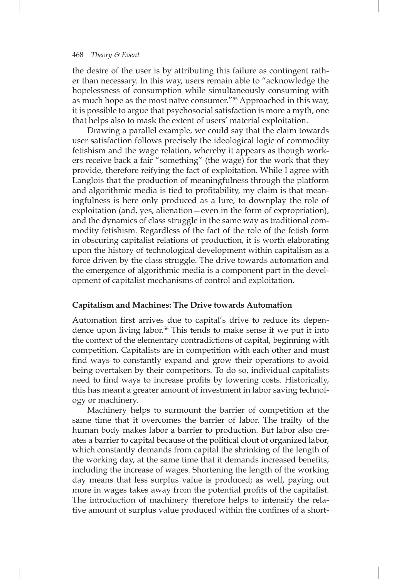the desire of the user is by attributing this failure as contingent rather than necessary. In this way, users remain able to "acknowledge the hopelessness of consumption while simultaneously consuming with as much hope as the most naïve consumer."55 Approached in this way, it is possible to argue that psychosocial satisfaction is more a myth, one that helps also to mask the extent of users' material exploitation.

Drawing a parallel example, we could say that the claim towards user satisfaction follows precisely the ideological logic of commodity fetishism and the wage relation, whereby it appears as though workers receive back a fair "something" (the wage) for the work that they provide, therefore reifying the fact of exploitation. While I agree with Langlois that the production of meaningfulness through the platform and algorithmic media is tied to proftability, my claim is that meaningfulness is here only produced as a lure, to downplay the role of exploitation (and, yes, alienation—even in the form of expropriation), and the dynamics of class struggle in the same way as traditional commodity fetishism. Regardless of the fact of the role of the fetish form in obscuring capitalist relations of production, it is worth elaborating upon the history of technological development within capitalism as a force driven by the class struggle. The drive towards automation and the emergence of algorithmic media is a component part in the development of capitalist mechanisms of control and exploitation.

### **Capitalism and Machines: The Drive towards Automation**

Automation first arrives due to capital's drive to reduce its dependence upon living labor.<sup>56</sup> This tends to make sense if we put it into the context of the elementary contradictions of capital, beginning with competition. Capitalists are in competition with each other and must find ways to constantly expand and grow their operations to avoid being overtaken by their competitors. To do so, individual capitalists need to find ways to increase profits by lowering costs. Historically, this has meant a greater amount of investment in labor saving technology or machinery.

Machinery helps to surmount the barrier of competition at the same time that it overcomes the barrier of labor. The frailty of the human body makes labor a barrier to production. But labor also creates a barrier to capital because of the political clout of organized labor, which constantly demands from capital the shrinking of the length of the working day, at the same time that it demands increased benefts, including the increase of wages. Shortening the length of the working day means that less surplus value is produced; as well, paying out more in wages takes away from the potential profits of the capitalist. The introduction of machinery therefore helps to intensify the relative amount of surplus value produced within the confines of a short-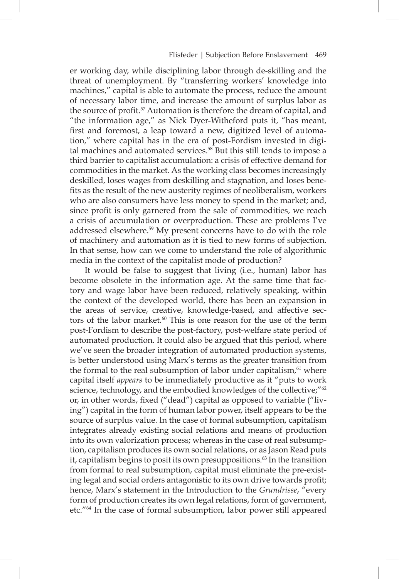er working day, while disciplining labor through de-skilling and the threat of unemployment. By "transferring workers' knowledge into machines," capital is able to automate the process, reduce the amount of necessary labor time, and increase the amount of surplus labor as the source of profit.<sup>57</sup> Automation is therefore the dream of capital, and "the information age," as Nick Dyer-Witheford puts it, "has meant, first and foremost, a leap toward a new, digitized level of automation," where capital has in the era of post-Fordism invested in digital machines and automated services.<sup>58</sup> But this still tends to impose a third barrier to capitalist accumulation: a crisis of effective demand for commodities in the market. As the working class becomes increasingly deskilled, loses wages from deskilling and stagnation, and loses benefits as the result of the new austerity regimes of neoliberalism, workers who are also consumers have less money to spend in the market; and, since profit is only garnered from the sale of commodities, we reach a crisis of accumulation or overproduction. These are problems I've addressed elsewhere.59 My present concerns have to do with the role of machinery and automation as it is tied to new forms of subjection. In that sense, how can we come to understand the role of algorithmic media in the context of the capitalist mode of production?

It would be false to suggest that living (i.e., human) labor has become obsolete in the information age. At the same time that factory and wage labor have been reduced, relatively speaking, within the context of the developed world, there has been an expansion in the areas of service, creative, knowledge-based, and affective sectors of the labor market.<sup>60</sup> This is one reason for the use of the term post-Fordism to describe the post-factory, post-welfare state period of automated production. It could also be argued that this period, where we've seen the broader integration of automated production systems, is better understood using Marx's terms as the greater transition from the formal to the real subsumption of labor under capitalism, $61$  where capital itself *appears* to be immediately productive as it "puts to work science, technology, and the embodied knowledges of the collective;"<sup>62</sup> or, in other words, fxed ("dead") capital as opposed to variable ("living") capital in the form of human labor power, itself appears to be the source of surplus value. In the case of formal subsumption, capitalism integrates already existing social relations and means of production into its own valorization process; whereas in the case of real subsumption, capitalism produces its own social relations, or as Jason Read puts it, capitalism begins to posit its own presuppositions.<sup>63</sup> In the transition from formal to real subsumption, capital must eliminate the pre-existing legal and social orders antagonistic to its own drive towards proft; hence, Marx's statement in the Introduction to the *Grundrisse*, "every form of production creates its own legal relations, form of government, etc."64 In the case of formal subsumption, labor power still appeared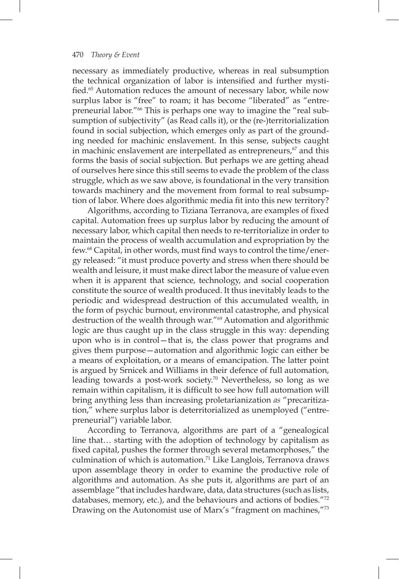necessary as immediately productive, whereas in real subsumption the technical organization of labor is intensifed and further mystified.<sup>65</sup> Automation reduces the amount of necessary labor, while now surplus labor is "free" to roam; it has become "liberated" as "entrepreneurial labor."66 This is perhaps one way to imagine the "real subsumption of subjectivity" (as Read calls it), or the (re-)territorialization found in social subjection, which emerges only as part of the grounding needed for machinic enslavement. In this sense, subjects caught in machinic enslavement are interpellated as entrepreneurs,<sup>67</sup> and this forms the basis of social subjection. But perhaps we are getting ahead of ourselves here since this still seems to evade the problem of the class struggle, which as we saw above, is foundational in the very transition towards machinery and the movement from formal to real subsumption of labor. Where does algorithmic media fit into this new territory?

Algorithms, according to Tiziana Terranova, are examples of fxed capital. Automation frees up surplus labor by reducing the amount of necessary labor, which capital then needs to re-territorialize in order to maintain the process of wealth accumulation and expropriation by the few.<sup>68</sup> Capital, in other words, must find ways to control the time/energy released: "it must produce poverty and stress when there should be wealth and leisure, it must make direct labor the measure of value even when it is apparent that science, technology, and social cooperation constitute the source of wealth produced. It thus inevitably leads to the periodic and widespread destruction of this accumulated wealth, in the form of psychic burnout, environmental catastrophe, and physical destruction of the wealth through war."69 Automation and algorithmic logic are thus caught up in the class struggle in this way: depending upon who is in control—that is, the class power that programs and gives them purpose—automation and algorithmic logic can either be a means of exploitation, or a means of emancipation. The latter point is argued by Srnicek and Williams in their defence of full automation, leading towards a post-work society.70 Nevertheless, so long as we remain within capitalism, it is difficult to see how full automation will bring anything less than increasing proletarianization *as* "precaritization," where surplus labor is deterritorialized as unemployed ("entrepreneurial") variable labor.

According to Terranova, algorithms are part of a "genealogical line that… starting with the adoption of technology by capitalism as fxed capital, pushes the former through several metamorphoses," the culmination of which is automation.<sup>71</sup> Like Langlois, Terranova draws upon assemblage theory in order to examine the productive role of algorithms and automation. As she puts it, algorithms are part of an assemblage "that includes hardware, data, data structures (such as lists, databases, memory, etc.), and the behaviours and actions of bodies."72 Drawing on the Autonomist use of Marx's "fragment on machines,"73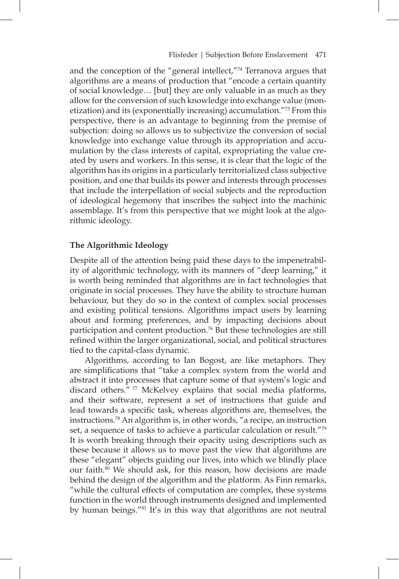and the conception of the "general intellect,"74 Terranova argues that algorithms are a means of production that "encode a certain quantity of social knowledge… [but] they are only valuable in as much as they allow for the conversion of such knowledge into exchange value (monetization) and its (exponentially increasing) accumulation."75 From this perspective, there is an advantage to beginning from the premise of subjection: doing so allows us to subjectivize the conversion of social knowledge into exchange value through its appropriation and accumulation by the class interests of capital, expropriating the value created by users and workers. In this sense, it is clear that the logic of the algorithm has its origins in a particularly territorialized class subjective position, and one that builds its power and interests through processes that include the interpellation of social subjects and the reproduction of ideological hegemony that inscribes the subject into the machinic assemblage. It's from this perspective that we might look at the algorithmic ideology.

#### **The Algorithmic Ideology**

Despite all of the attention being paid these days to the impenetrability of algorithmic technology, with its manners of "deep learning," it is worth being reminded that algorithms are in fact technologies that originate in social processes. They have the ability to structure human behaviour, but they do so in the context of complex social processes and existing political tensions. Algorithms impact users by learning about and forming preferences, and by impacting decisions about participation and content production.<sup>76</sup> But these technologies are still refned within the larger organizational, social, and political structures tied to the capital-class dynamic.

Algorithms, according to Ian Bogost, are like metaphors. They are simplifcations that "take a complex system from the world and abstract it into processes that capture some of that system's logic and discard others." 77 McKelvey explains that social media platforms, and their software, represent a set of instructions that guide and lead towards a specific task, whereas algorithms are, themselves, the instructions.78 An algorithm is, in other words, "a recipe, an instruction set, a sequence of tasks to achieve a particular calculation or result."79 It is worth breaking through their opacity using descriptions such as these because it allows us to move past the view that algorithms are these "elegant" objects guiding our lives, into which we blindly place our faith.<sup>80</sup> We should ask, for this reason, how decisions are made behind the design of the algorithm and the platform. As Finn remarks, "while the cultural effects of computation are complex, these systems function in the world through instruments designed and implemented by human beings."81 It's in this way that algorithms are not neutral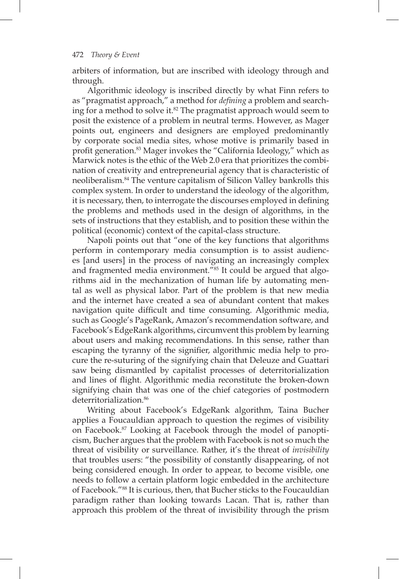arbiters of information, but are inscribed with ideology through and through.

Algorithmic ideology is inscribed directly by what Finn refers to as "pragmatist approach," a method for *defning* a problem and searching for a method to solve it.<sup>82</sup> The pragmatist approach would seem to posit the existence of a problem in neutral terms. However, as Mager points out, engineers and designers are employed predominantly by corporate social media sites, whose motive is primarily based in profit generation.<sup>83</sup> Mager invokes the "California Ideology," which as Marwick notes is the ethic of the Web 2.0 era that prioritizes the combination of creativity and entrepreneurial agency that is characteristic of neoliberalism.84 The venture capitalism of Silicon Valley bankrolls this complex system. In order to understand the ideology of the algorithm, it is necessary, then, to interrogate the discourses employed in defining the problems and methods used in the design of algorithms, in the sets of instructions that they establish, and to position these within the political (economic) context of the capital-class structure.

Napoli points out that "one of the key functions that algorithms perform in contemporary media consumption is to assist audiences [and users] in the process of navigating an increasingly complex and fragmented media environment."85 It could be argued that algorithms aid in the mechanization of human life by automating mental as well as physical labor. Part of the problem is that new media and the internet have created a sea of abundant content that makes navigation quite difficult and time consuming. Algorithmic media, such as Google's PageRank, Amazon's recommendation software, and Facebook's EdgeRank algorithms, circumvent this problem by learning about users and making recommendations. In this sense, rather than escaping the tyranny of the signifier, algorithmic media help to procure the re-suturing of the signifying chain that Deleuze and Guattari saw being dismantled by capitalist processes of deterritorialization and lines of fight. Algorithmic media reconstitute the broken-down signifying chain that was one of the chief categories of postmodern deterritorialization.<sup>86</sup>

Writing about Facebook's EdgeRank algorithm, Taina Bucher applies a Foucauldian approach to question the regimes of visibility on Facebook.87 Looking at Facebook through the model of panopticism, Bucher argues that the problem with Facebook is not so much the threat of visibility or surveillance. Rather, it's the threat of *invisibility* that troubles users: "the possibility of constantly disappearing, of not being considered enough. In order to appear, to become visible, one needs to follow a certain platform logic embedded in the architecture of Facebook."88 It is curious, then, that Bucher sticks to the Foucauldian paradigm rather than looking towards Lacan. That is, rather than approach this problem of the threat of invisibility through the prism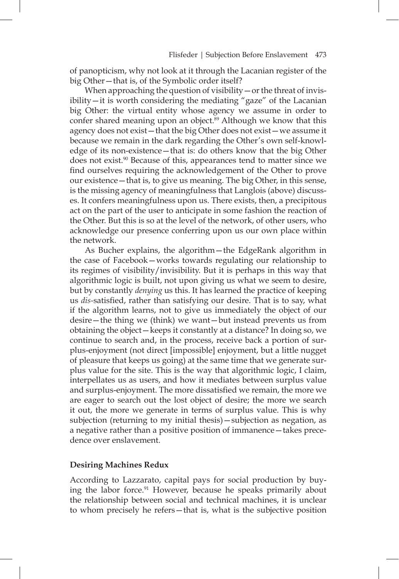of panopticism, why not look at it through the Lacanian register of the big Other—that is, of the Symbolic order itself?

When approaching the question of visibility — or the threat of invisibility—it is worth considering the mediating "gaze" of the Lacanian big Other: the virtual entity whose agency we assume in order to confer shared meaning upon an object.<sup>89</sup> Although we know that this agency does not exist—that the big Other does not exist—we assume it because we remain in the dark regarding the Other's own self-knowledge of its non-existence—that is: do others know that the big Other does not exist.<sup>90</sup> Because of this, appearances tend to matter since we find ourselves requiring the acknowledgement of the Other to prove our existence—that is, to give us meaning. The big Other, in this sense, is the missing agency of meaningfulness that Langlois (above) discusses. It confers meaningfulness upon us. There exists, then, a precipitous act on the part of the user to anticipate in some fashion the reaction of the Other. But this is so at the level of the network, of other users, who acknowledge our presence conferring upon us our own place within the network.

As Bucher explains, the algorithm—the EdgeRank algorithm in the case of Facebook—works towards regulating our relationship to its regimes of visibility/invisibility. But it is perhaps in this way that algorithmic logic is built, not upon giving us what we seem to desire, but by constantly *denying* us this. It has learned the practice of keeping us *dis-*satisfed, rather than satisfying our desire. That is to say, what if the algorithm learns, not to give us immediately the object of our desire—the thing we (think) we want—but instead prevents us from obtaining the object—keeps it constantly at a distance? In doing so, we continue to search and, in the process, receive back a portion of surplus-enjoyment (not direct [impossible] enjoyment, but a little nugget of pleasure that keeps us going) at the same time that we generate surplus value for the site. This is the way that algorithmic logic, I claim, interpellates us as users, and how it mediates between surplus value and surplus-enjoyment. The more dissatisfed we remain, the more we are eager to search out the lost object of desire; the more we search it out, the more we generate in terms of surplus value. This is why subjection (returning to my initial thesis)—subjection as negation, as a negative rather than a positive position of immanence—takes precedence over enslavement.

#### **Desiring Machines Redux**

According to Lazzarato, capital pays for social production by buying the labor force.<sup>91</sup> However, because he speaks primarily about the relationship between social and technical machines, it is unclear to whom precisely he refers—that is, what is the subjective position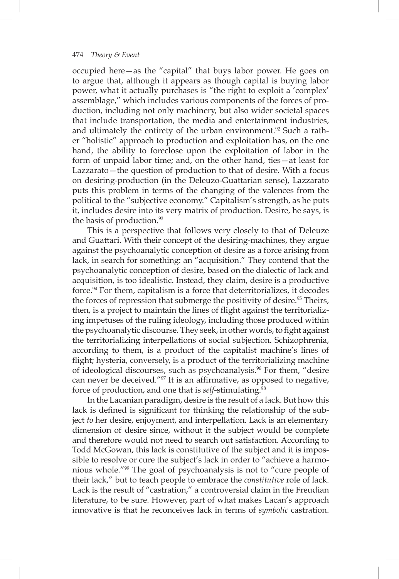occupied here—as the "capital" that buys labor power. He goes on to argue that, although it appears as though capital is buying labor power, what it actually purchases is "the right to exploit a 'complex' assemblage," which includes various components of the forces of production, including not only machinery, but also wider societal spaces that include transportation, the media and entertainment industries, and ultimately the entirety of the urban environment.<sup>92</sup> Such a rather "holistic" approach to production and exploitation has, on the one hand, the ability to foreclose upon the exploitation of labor in the form of unpaid labor time; and, on the other hand, ties—at least for Lazzarato—the question of production to that of desire. With a focus on desiring-production (in the Deleuzo-Guattarian sense), Lazzarato puts this problem in terms of the changing of the valences from the political to the "subjective economy." Capitalism's strength, as he puts it, includes desire into its very matrix of production. Desire, he says, is the basis of production.<sup>93</sup>

This is a perspective that follows very closely to that of Deleuze and Guattari. With their concept of the desiring-machines, they argue against the psychoanalytic conception of desire as a force arising from lack, in search for something: an "acquisition." They contend that the psychoanalytic conception of desire, based on the dialectic of lack and acquisition, is too idealistic. Instead, they claim, desire is a productive force.94 For them, capitalism is a force that deterritorializes, it decodes the forces of repression that submerge the positivity of desire.<sup>95</sup> Theirs, then, is a project to maintain the lines of fight against the territorializing impetuses of the ruling ideology, including those produced within the psychoanalytic discourse. They seek, in other words, to fight against the territorializing interpellations of social subjection. Schizophrenia, according to them, is a product of the capitalist machine's lines of fight; hysteria, conversely, is a product of the territorializing machine of ideological discourses, such as psychoanalysis.<sup>96</sup> For them, "desire can never be deceived."<sup>97</sup> It is an affirmative, as opposed to negative, force of production, and one that is *self*-stimulating.98

In the Lacanian paradigm, desire is the result of a lack. But how this lack is defined is significant for thinking the relationship of the subject *to* her desire, enjoyment, and interpellation. Lack is an elementary dimension of desire since, without it the subject would be complete and therefore would not need to search out satisfaction. According to Todd McGowan, this lack is constitutive of the subject and it is impossible to resolve or cure the subject's lack in order to "achieve a harmonious whole."99 The goal of psychoanalysis is not to "cure people of their lack," but to teach people to embrace the *constitutive* role of lack. Lack is the result of "castration," a controversial claim in the Freudian literature, to be sure. However, part of what makes Lacan's approach innovative is that he reconceives lack in terms of *symbolic* castration.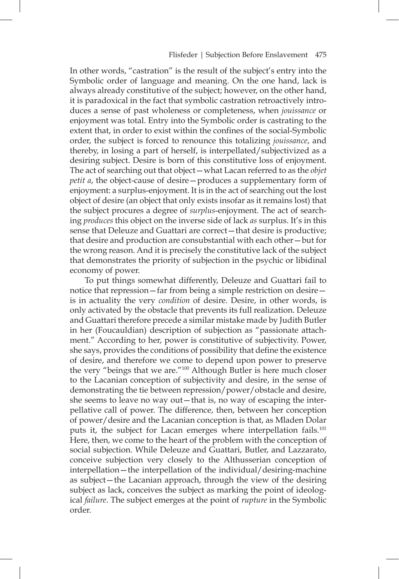In other words, "castration" is the result of the subject's entry into the Symbolic order of language and meaning. On the one hand, lack is always already constitutive of the subject; however, on the other hand, it is paradoxical in the fact that symbolic castration retroactively introduces a sense of past wholeness or completeness, when *jouissance* or enjoyment was total. Entry into the Symbolic order is castrating to the extent that, in order to exist within the confines of the social-Symbolic order, the subject is forced to renounce this totalizing *jouissance*, and thereby, in losing a part of herself, is interpellated/subjectivized as a desiring subject. Desire is born of this constitutive loss of enjoyment. The act of searching out that object—what Lacan referred to as the *objet petit a*, the object-cause of desire—produces a supplementary form of enjoyment: a surplus-enjoyment. It is in the act of searching out the lost object of desire (an object that only exists insofar as it remains lost) that the subject procures a degree of *surplus*-enjoyment. The act of searching *produces* this object on the inverse side of lack *as* surplus. It's in this sense that Deleuze and Guattari are correct—that desire is productive; that desire and production are consubstantial with each other—but for the wrong reason. And it is precisely the constitutive lack of the subject that demonstrates the priority of subjection in the psychic or libidinal economy of power.

To put things somewhat differently, Deleuze and Guattari fail to notice that repression—far from being a simple restriction on desire is in actuality the very *condition* of desire. Desire, in other words, is only activated by the obstacle that prevents its full realization. Deleuze and Guattari therefore precede a similar mistake made by Judith Butler in her (Foucauldian) description of subjection as "passionate attachment." According to her, power is constitutive of subjectivity. Power, she says, provides the conditions of possibility that define the existence of desire, and therefore we come to depend upon power to preserve the very "beings that we are."100 Although Butler is here much closer to the Lacanian conception of subjectivity and desire, in the sense of demonstrating the tie between repression/power/obstacle and desire, she seems to leave no way out—that is, no way of escaping the interpellative call of power. The difference, then, between her conception of power/desire and the Lacanian conception is that, as Mladen Dolar puts it, the subject for Lacan emerges where interpellation fails.<sup>101</sup> Here, then, we come to the heart of the problem with the conception of social subjection. While Deleuze and Guattari, Butler, and Lazzarato, conceive subjection very closely to the Althusserian conception of interpellation—the interpellation of the individual/desiring-machine as subject—the Lacanian approach, through the view of the desiring subject as lack, conceives the subject as marking the point of ideological *failure*. The subject emerges at the point of *rupture* in the Symbolic order.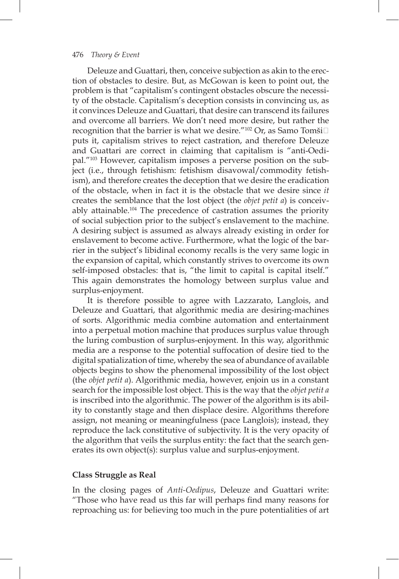Deleuze and Guattari, then, conceive subjection as akin to the erection of obstacles to desire. But, as McGowan is keen to point out, the problem is that "capitalism's contingent obstacles obscure the necessity of the obstacle. Capitalism's deception consists in convincing us, as it convinces Deleuze and Guattari, that desire can transcend its failures and overcome all barriers. We don't need more desire, but rather the recognition that the barrier is what we desire."<sup>102</sup> Or, as Samo Tomši $\Box$ puts it, capitalism strives to reject castration, and therefore Deleuze and Guattari are correct in claiming that capitalism is "anti-Oedipal."103 However, capitalism imposes a perverse position on the subject (i.e., through fetishism: fetishism disavowal/commodity fetishism), and therefore creates the deception that we desire the eradication of the obstacle, when in fact it is the obstacle that we desire since *it* creates the semblance that the lost object (the *objet petit a*) is conceivably attainable.104 The precedence of castration assumes the priority of social subjection prior to the subject's enslavement to the machine. A desiring subject is assumed as always already existing in order for enslavement to become active. Furthermore, what the logic of the barrier in the subject's libidinal economy recalls is the very same logic in the expansion of capital, which constantly strives to overcome its own self-imposed obstacles: that is, "the limit to capital is capital itself." This again demonstrates the homology between surplus value and surplus-enjoyment.

It is therefore possible to agree with Lazzarato, Langlois, and Deleuze and Guattari, that algorithmic media are desiring-machines of sorts. Algorithmic media combine automation and entertainment into a perpetual motion machine that produces surplus value through the luring combustion of surplus-enjoyment. In this way, algorithmic media are a response to the potential suffocation of desire tied to the digital spatialization of time, whereby the sea of abundance of available objects begins to show the phenomenal impossibility of the lost object (the *objet petit a*). Algorithmic media, however, enjoin us in a constant search for the impossible lost object. This is the way that the *objet petit a* is inscribed into the algorithmic. The power of the algorithm is its ability to constantly stage and then displace desire. Algorithms therefore assign, not meaning or meaningfulness (pace Langlois); instead, they reproduce the lack constitutive of subjectivity. It is the very opacity of the algorithm that veils the surplus entity: the fact that the search generates its own object(s): surplus value and surplus-enjoyment.

### **Class Struggle as Real**

In the closing pages of *Anti-Oedipus*, Deleuze and Guattari write: "Those who have read us this far will perhaps fnd many reasons for reproaching us: for believing too much in the pure potentialities of art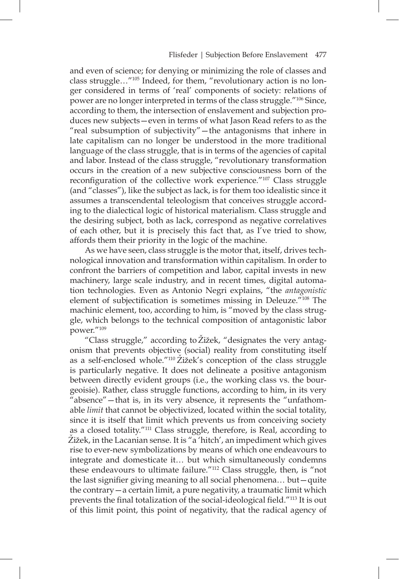and even of science; for denying or minimizing the role of classes and class struggle…"105 Indeed, for them, "revolutionary action is no longer considered in terms of 'real' components of society: relations of power are no longer interpreted in terms of the class struggle."106 Since, according to them, the intersection of enslavement and subjection produces new subjects—even in terms of what Jason Read refers to as the "real subsumption of subjectivity"—the antagonisms that inhere in late capitalism can no longer be understood in the more traditional language of the class struggle, that is in terms of the agencies of capital and labor. Instead of the class struggle, "revolutionary transformation occurs in the creation of a new subjective consciousness born of the reconfiguration of the collective work experience."<sup>107</sup> Class struggle (and "classes"), like the subject as lack, is for them too idealistic since it assumes a transcendental teleologism that conceives struggle according to the dialectical logic of historical materialism. Class struggle and the desiring subject, both as lack, correspond as negative correlatives of each other, but it is precisely this fact that, as I've tried to show, affords them their priority in the logic of the machine.

As we have seen, class struggle is the motor that, itself, drives technological innovation and transformation within capitalism. In order to confront the barriers of competition and labor, capital invests in new machinery, large scale industry, and in recent times, digital automation technologies. Even as Antonio Negri explains, "the *antagonistic* element of subjectification is sometimes missing in Deleuze."<sup>108</sup> The machinic element, too, according to him, is "moved by the class struggle, which belongs to the technical composition of antagonistic labor power."109

"Class struggle," according to Žižek, "designates the very antagonism that prevents objective (social) reality from constituting itself as a self-enclosed whole."<sup>110</sup> Žižek's conception of the class struggle is particularly negative. It does not delineate a positive antagonism between directly evident groups (i.e., the working class vs. the bourgeoisie). Rather, class struggle functions, according to him, in its very "absence"—that is, in its very absence, it represents the "unfathomable *limit* that cannot be objectivized, located within the social totality, since it is itself that limit which prevents us from conceiving society as a closed totality."111 Class struggle, therefore, is Real, according to Žižek, in the Lacanian sense. It is "a 'hitch', an impediment which gives rise to ever-new symbolizations by means of which one endeavours to integrate and domesticate it… but which simultaneously condemns these endeavours to ultimate failure."112 Class struggle, then, is "not the last signifier giving meaning to all social phenomena... but-quite the contrary—a certain limit, a pure negativity, a traumatic limit which prevents the final totalization of the social-ideological field."<sup>113</sup> It is out of this limit point, this point of negativity, that the radical agency of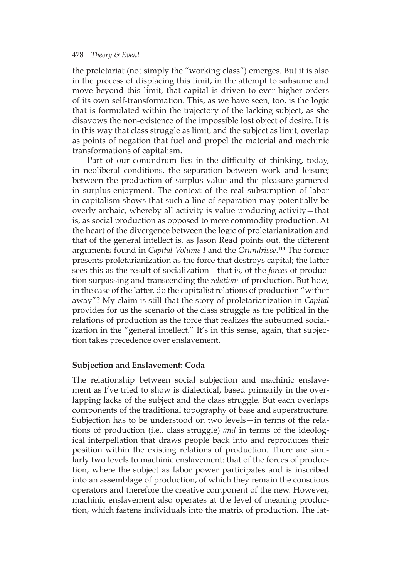the proletariat (not simply the "working class") emerges. But it is also in the process of displacing this limit, in the attempt to subsume and move beyond this limit, that capital is driven to ever higher orders of its own self-transformation. This, as we have seen, too, is the logic that is formulated within the trajectory of the lacking subject, as she disavows the non-existence of the impossible lost object of desire. It is in this way that class struggle as limit, and the subject as limit, overlap as points of negation that fuel and propel the material and machinic transformations of capitalism.

Part of our conundrum lies in the difficulty of thinking, today, in neoliberal conditions, the separation between work and leisure; between the production of surplus value and the pleasure garnered in surplus-enjoyment. The context of the real subsumption of labor in capitalism shows that such a line of separation may potentially be overly archaic, whereby all activity is value producing activity—that is, as social production as opposed to mere commodity production. At the heart of the divergence between the logic of proletarianization and that of the general intellect is, as Jason Read points out, the different arguments found in *Capital Volume I* and the *Grundrisse*. 114 The former presents proletarianization as the force that destroys capital; the latter sees this as the result of socialization—that is, of the *forces* of production surpassing and transcending the *relations* of production. But how, in the case of the latter, do the capitalist relations of production "wither away"? My claim is still that the story of proletarianization in *Capital* provides for us the scenario of the class struggle as the political in the relations of production as the force that realizes the subsumed socialization in the "general intellect." It's in this sense, again, that subjection takes precedence over enslavement.

### **Subjection and Enslavement: Coda**

The relationship between social subjection and machinic enslavement as I've tried to show is dialectical, based primarily in the overlapping lacks of the subject and the class struggle. But each overlaps components of the traditional topography of base and superstructure. Subjection has to be understood on two levels—in terms of the relations of production (i.e., class struggle) *and* in terms of the ideological interpellation that draws people back into and reproduces their position within the existing relations of production. There are similarly two levels to machinic enslavement: that of the forces of production, where the subject as labor power participates and is inscribed into an assemblage of production, of which they remain the conscious operators and therefore the creative component of the new. However, machinic enslavement also operates at the level of meaning production, which fastens individuals into the matrix of production. The lat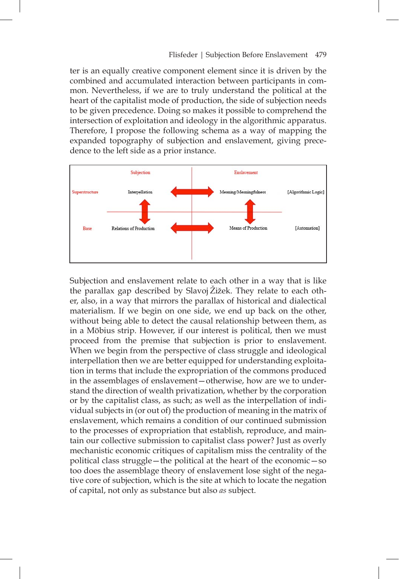ter is an equally creative component element since it is driven by the combined and accumulated interaction between participants in common. Nevertheless, if we are to truly understand the political at the heart of the capitalist mode of production, the side of subjection needs to be given precedence. Doing so makes it possible to comprehend the intersection of exploitation and ideology in the algorithmic apparatus. Therefore, I propose the following schema as a way of mapping the expanded topography of subjection and enslavement, giving precedence to the left side as a prior instance.



Subjection and enslavement relate to each other in a way that is like the parallax gap described by Slavoj Žižek. They relate to each other, also, in a way that mirrors the parallax of historical and dialectical materialism. If we begin on one side, we end up back on the other, without being able to detect the causal relationship between them, as in a Möbius strip. However, if our interest is political, then we must proceed from the premise that subjection is prior to enslavement. When we begin from the perspective of class struggle and ideological interpellation then we are better equipped for understanding exploitation in terms that include the expropriation of the commons produced in the assemblages of enslavement—otherwise, how are we to understand the direction of wealth privatization, whether by the corporation or by the capitalist class, as such; as well as the interpellation of individual subjects in (or out of) the production of meaning in the matrix of enslavement, which remains a condition of our continued submission to the processes of expropriation that establish, reproduce, and maintain our collective submission to capitalist class power? Just as overly mechanistic economic critiques of capitalism miss the centrality of the political class struggle—the political at the heart of the economic—so too does the assemblage theory of enslavement lose sight of the negative core of subjection, which is the site at which to locate the negation of capital, not only as substance but also *as* subject.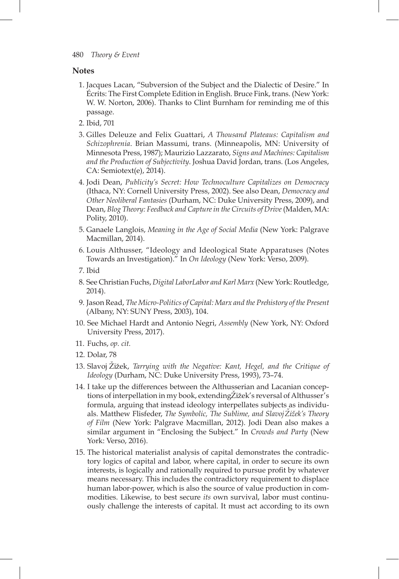### **Notes**

- 1. Jacques Lacan, "Subversion of the Subject and the Dialectic of Desire." In Écrits: The First Complete Edition in English. Bruce Fink, trans. (New York: W. W. Norton, 2006). Thanks to Clint Burnham for reminding me of this passage.
- 2. Ibid, 701
- 3. Gilles Deleuze and Felix Guattari, *A Thousand Plateaus: Capitalism and Schizophrenia*. Brian Massumi, trans. (Minneapolis, MN: University of Minnesota Press, 1987); Maurizio Lazzarato, *Signs and Machines: Capitalism and the Production of Subjectivity*. Joshua David Jordan, trans. (Los Angeles, CA: Semiotext(e), 2014).
- 4. Jodi Dean, *Publicity's Secret: How Technoculture Capitalizes on Democracy* (Ithaca, NY: Cornell University Press, 2002). See also Dean, *Democracy and Other Neoliberal Fantasies* (Durham, NC: Duke University Press, 2009), and Dean, *Blog Theory: Feedback and Capture in the Circuits of Drive* (Malden, MA: Polity, 2010).
- 5. Ganaele Langlois, *Meaning in the Age of Social Media* (New York: Palgrave Macmillan, 2014).
- 6. Louis Althusser, "Ideology and Ideological State Apparatuses (Notes Towards an Investigation)." In *On Ideology* (New York: Verso, 2009).
- 7. Ibid
- 8. See Christian Fuchs, *Digital LaborLabor and Karl Marx* (New York: Routledge, 2014).
- 9. Jason Read, *The Micro-Politics of Capital: Marx and the Prehistory of the Present* (Albany, NY: SUNY Press, 2003), 104.
- 10. See Michael Hardt and Antonio Negri, *Assembly* (New York, NY: Oxford University Press, 2017).
- 11. Fuchs, *op. cit.*
- 12. Dolar, 78
- 13. Slavoj Zižek, *Tarrying with the Negative: Kant, Hegel, and the Critique of Ideology* (Durham, NC: Duke University Press, 1993), 73–74.
- 14. I take up the differences between the Althusserian and Lacanian conceptions of interpellation in my book, extending Zižek's reversal of Althusser's formula, arguing that instead ideology interpellates subjects as individuals. Matthew Flisfeder, *The Symbolic*, *The Sublime*, and *Slavoj Zižek's Theory of Film* (New York: Palgrave Macmillan, 2012). Jodi Dean also makes a similar argument in "Enclosing the Subject." In *Crowds and Party* (New York: Verso, 2016).
- 15. The historical materialist analysis of capital demonstrates the contradictory logics of capital and labor, where capital, in order to secure its own interests, is logically and rationally required to pursue profit by whatever means necessary. This includes the contradictory requirement to displace human labor-power, which is also the source of value production in commodities. Likewise, to best secure *its* own survival, labor must continuously challenge the interests of capital. It must act according to its own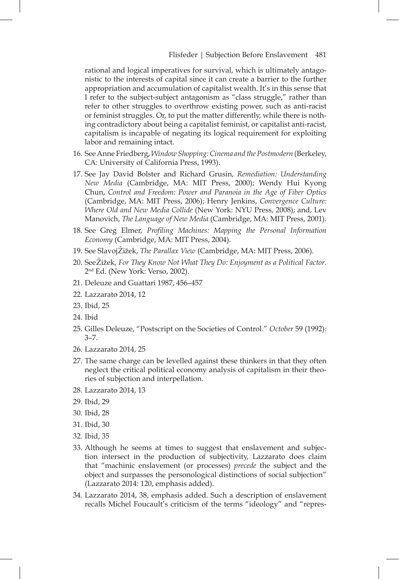rational and logical imperatives for survival, which is ultimately antagonistic to the interests of capital since it can create a barrier to the further appropriation and accumulation of capitalist wealth. It's in this sense that I refer to the subject-subject antagonism as "class struggle," rather than refer to other struggles to overthrow existing power, such as anti-racist or feminist struggles. Or, to put the matter differently, while there is nothing contradictory about being a capitalist feminist, or capitalist anti-racist, capitalism is incapable of negating its logical requirement for exploiting labor and remaining intact.

- 16. See Anne Friedberg, *Window Shopping: Cinema and the Postmodern* (Berkeley, CA: University of California Press, 1993).
- 17. See Jay David Bolster and Richard Grusin, *Remediation: Understanding New Media* (Cambridge, MA: MIT Press, 2000); Wendy Hui Kyong Chun, *Control and Freedom: Power and Paranoia in the Age of Fiber Optics* (Cambridge, MA: MIT Press, 2006); Henry Jenkins, *Convergence Culture: Where Old and New Media Collide* (New York: NYU Press, 2008); and, Lev Manovich, *The Language of New Media* (Cambridge, MA: MIT Press, 2001).
- 18. See Greg Elmer, *Profling Machines: Mapping the Personal Information Economy* (Cambridge, MA: MIT Press, 2004).
- 19. See Slavoj Žižek, *The Parallax View* (Cambridge, MA: MIT Press, 2006).
- 20. See Zižek, *For They Know Not What They Do: Enjoyment as a Political Factor*. 2nd Ed. (New York: Verso, 2002).
- 21. Deleuze and Guattari 1987, 456–457
- 22. Lazzarato 2014, 12
- 23. Ibid, 25
- 24. Ibid
- 25. Gilles Deleuze, "Postscript on the Societies of Control." *October* 59 (1992): 3–7.
- 26. Lazzarato 2014, 25
- 27. The same charge can be levelled against these thinkers in that they often neglect the critical political economy analysis of capitalism in their theories of subjection and interpellation.
- 28. Lazzarato 2014, 13
- 29. Ibid, 29
- 30. Ibid, 28
- 31. Ibid, 30
- 32. Ibid, 35
- 33. Although he seems at times to suggest that enslavement and subjection intersect in the production of subjectivity, Lazzarato does claim that "machinic enslavement (or processes) *precede* the subject and the object and surpasses the personological distinctions of social subjection" (Lazzarato 2014: 120, emphasis added).
- 34. Lazzarato 2014, 38, emphasis added. Such a description of enslavement recalls Michel Foucault's criticism of the terms "ideology" and "repres-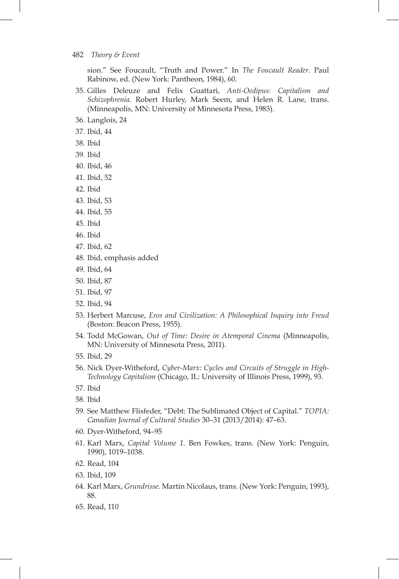sion." See Foucault, "Truth and Power." In *The Foucault Reader*. Paul Rabinow, ed. (New York: Pantheon, 1984), 60.

- 35. Gilles Deleuze and Felix Guattari, *Anti-Oedipus: Capitalism and Schizophrenia*. Robert Hurley, Mark Seem, and Helen R. Lane, trans. (Minneapolis, MN: University of Minnesota Press, 1983).
- 36. Langlois, 24
- 37. Ibid, 44
- 38. Ibid
- 39. Ibid
- 40. Ibid, 46
- 41. Ibid, 52
- 42. Ibid
- 43. Ibid, 53
- 44. Ibid, 55
- 45. Ibid
- 46. Ibid
- 47. Ibid, 62
- 48. Ibid, emphasis added
- 49. Ibid, 64
- 50. Ibid, 87
- 51. Ibid, 97
- 52. Ibid, 94
- 53. Herbert Marcuse, *Eros and Civilization: A Philosophical Inquiry into Freud* (Boston: Beacon Press, 1955).
- 54. Todd McGowan, *Out of Time: Desire in Atemporal Cinema* (Minneapolis, MN: University of Minnesota Press, 2011).
- 55. Ibid, 29
- 56. Nick Dyer-Witheford, *Cyber-Marx: Cycles and Circuits of Struggle in High-Technology Capitalism* (Chicago, IL: University of Illinois Press, 1999), 93.
- 57. Ibid
- 58. Ibid
- 59. See Matthew Flisfeder, "Debt: The Sublimated Object of Capital." *TOPIA: Canadian Journal of Cultural Studies* 30–31 (2013/2014): 47–63.
- 60. Dyer-Witheford, 94–95
- 61. Karl Marx, *Capital Volume 1*. Ben Fowkes, trans. (New York: Penguin, 1990), 1019–1038.
- 62. Read, 104
- 63. Ibid, 109
- 64. Karl Marx, *Grundrisse*. Martin Nicolaus, trans. (New York: Penguin, 1993), 88.
- 65. Read, 110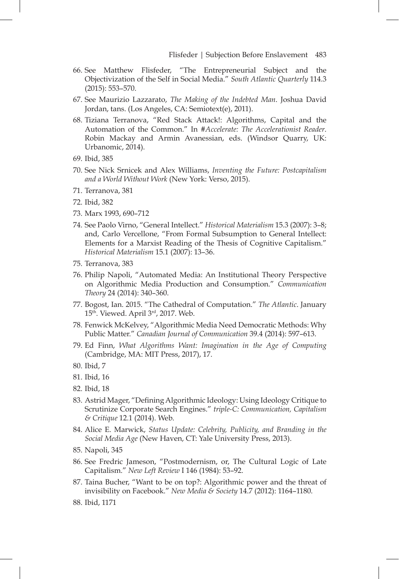- 66. See Matthew Flisfeder, "The Entrepreneurial Subject and the Objectivization of the Self in Social Media." *South Atlantic Quarterly* 114.3 (2015): 553–570.
- 67. See Maurizio Lazzarato, *The Making of the Indebted Man*. Joshua David Jordan, tans. (Los Angeles, CA: Semiotext(e), 2011).
- 68. Tiziana Terranova, "Red Stack Attack!: Algorithms, Capital and the Automation of the Common." In *#Accelerate: The Accelerationist Reader*. Robin Mackay and Armin Avanessian, eds. (Windsor Quarry, UK: Urbanomic, 2014).
- 69. Ibid, 385
- 70. See Nick Srnicek and Alex Williams, *Inventing the Future: Postcapitalism and a World Without Work* (New York: Verso, 2015).
- 71. Terranova, 381
- 72. Ibid, 382
- 73. Marx 1993, 690–712
- 74. See Paolo Virno, "General Intellect." *Historical Materialism* 15.3 (2007): 3–8; and, Carlo Vercellone, "From Formal Subsumption to General Intellect: Elements for a Marxist Reading of the Thesis of Cognitive Capitalism." *Historical Materialism* 15.1 (2007): 13–36.
- 75. Terranova, 383
- 76. Philip Napoli, "Automated Media: An Institutional Theory Perspective on Algorithmic Media Production and Consumption." *Communication Theory* 24 (2014): 340–360.
- 77. Bogost, Ian. 2015. "The Cathedral of Computation." *The Atlantic*. January 15th. Viewed. April 3rd, 2017. Web.
- 78. Fenwick McKelvey, "Algorithmic Media Need Democratic Methods: Why Public Matter." *Canadian Journal of Communication* 39.4 (2014): 597–613.
- 79. Ed Finn, *What Algorithms Want: Imagination in the Age of Computing* (Cambridge, MA: MIT Press, 2017), 17.
- 80. Ibid, 7
- 81. Ibid, 16
- 82. Ibid, 18
- 83. Astrid Mager, "Defining Algorithmic Ideology: Using Ideology Critique to Scrutinize Corporate Search Engines." *triple-C: Communication, Capitalism & Critique* 12.1 (2014). Web.
- 84. Alice E. Marwick, *Status Update: Celebrity, Publicity, and Branding in the Social Media Age* (New Haven, CT: Yale University Press, 2013).
- 85. Napoli, 345
- 86. See Fredric Jameson, "Postmodernism, or, The Cultural Logic of Late Capitalism." *New Left Review* I 146 (1984): 53–92.
- 87. Taina Bucher, "Want to be on top?: Algorithmic power and the threat of invisibility on Facebook." *New Media & Society* 14.7 (2012): 1164–1180.

<sup>88.</sup> Ibid, 1171